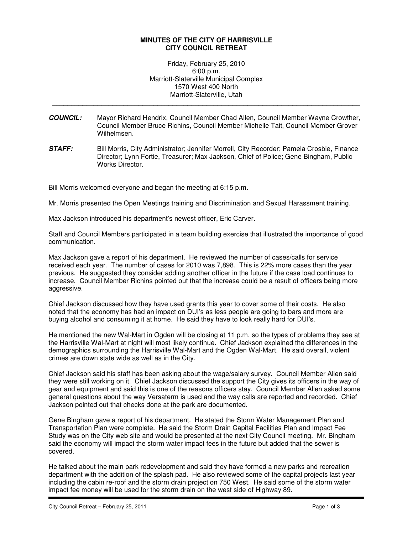## **MINUTES OF THE CITY OF HARRISVILLE CITY COUNCIL RETREAT**

Friday, February 25, 2010 6:00 p.m. Marriott-Slaterville Municipal Complex 1570 West 400 North Marriott-Slaterville, Utah

\_\_\_\_\_\_\_\_\_\_\_\_\_\_\_\_\_\_\_\_\_\_\_\_\_\_\_\_\_\_\_\_\_\_\_\_\_\_\_\_\_\_\_\_\_\_\_\_\_\_\_\_\_\_\_\_\_\_\_\_\_\_\_\_\_\_\_\_\_\_\_\_\_\_\_\_\_\_\_\_\_\_

- **COUNCIL:** Mayor Richard Hendrix, Council Member Chad Allen, Council Member Wayne Crowther, Council Member Bruce Richins, Council Member Michelle Tait, Council Member Grover Wilhelmsen.
- **STAFF:** Bill Morris, City Administrator; Jennifer Morrell, City Recorder; Pamela Crosbie, Finance Director; Lynn Fortie, Treasurer; Max Jackson, Chief of Police; Gene Bingham, Public Works Director.

Bill Morris welcomed everyone and began the meeting at 6:15 p.m.

Mr. Morris presented the Open Meetings training and Discrimination and Sexual Harassment training.

Max Jackson introduced his department's newest officer, Eric Carver.

Staff and Council Members participated in a team building exercise that illustrated the importance of good communication.

Max Jackson gave a report of his department. He reviewed the number of cases/calls for service received each year. The number of cases for 2010 was 7,898. This is 22% more cases than the year previous. He suggested they consider adding another officer in the future if the case load continues to increase. Council Member Richins pointed out that the increase could be a result of officers being more aggressive.

Chief Jackson discussed how they have used grants this year to cover some of their costs. He also noted that the economy has had an impact on DUI's as less people are going to bars and more are buying alcohol and consuming it at home. He said they have to look really hard for DUI's.

He mentioned the new Wal-Mart in Ogden will be closing at 11 p.m. so the types of problems they see at the Harrisville Wal-Mart at night will most likely continue. Chief Jackson explained the differences in the demographics surrounding the Harrisville Wal-Mart and the Ogden Wal-Mart. He said overall, violent crimes are down state wide as well as in the City.

Chief Jackson said his staff has been asking about the wage/salary survey. Council Member Allen said they were still working on it. Chief Jackson discussed the support the City gives its officers in the way of gear and equipment and said this is one of the reasons officers stay. Council Member Allen asked some general questions about the way Versaterm is used and the way calls are reported and recorded. Chief Jackson pointed out that checks done at the park are documented.

Gene Bingham gave a report of his department. He stated the Storm Water Management Plan and Transportation Plan were complete. He said the Storm Drain Capital Facilities Plan and Impact Fee Study was on the City web site and would be presented at the next City Council meeting. Mr. Bingham said the economy will impact the storm water impact fees in the future but added that the sewer is covered.

He talked about the main park redevelopment and said they have formed a new parks and recreation department with the addition of the splash pad. He also reviewed some of the capital projects last year including the cabin re-roof and the storm drain project on 750 West. He said some of the storm water impact fee money will be used for the storm drain on the west side of Highway 89.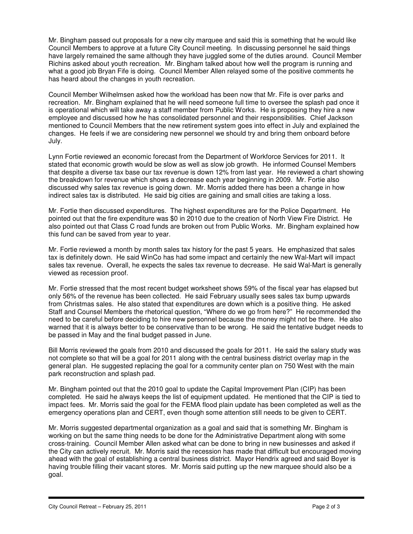Mr. Bingham passed out proposals for a new city marquee and said this is something that he would like Council Members to approve at a future City Council meeting. In discussing personnel he said things have largely remained the same although they have juggled some of the duties around. Council Member Richins asked about youth recreation. Mr. Bingham talked about how well the program is running and what a good job Bryan Fife is doing. Council Member Allen relayed some of the positive comments he has heard about the changes in youth recreation.

Council Member Wilhelmsen asked how the workload has been now that Mr. Fife is over parks and recreation. Mr. Bingham explained that he will need someone full time to oversee the splash pad once it is operational which will take away a staff member from Public Works. He is proposing they hire a new employee and discussed how he has consolidated personnel and their responsibilities. Chief Jackson mentioned to Council Members that the new retirement system goes into effect in July and explained the changes. He feels if we are considering new personnel we should try and bring them onboard before July.

Lynn Fortie reviewed an economic forecast from the Department of Workforce Services for 2011. It stated that economic growth would be slow as well as slow job growth. He informed Counsel Members that despite a diverse tax base our tax revenue is down 12% from last year. He reviewed a chart showing the breakdown for revenue which shows a decrease each year beginning in 2009. Mr. Fortie also discussed why sales tax revenue is going down. Mr. Morris added there has been a change in how indirect sales tax is distributed. He said big cities are gaining and small cities are taking a loss.

Mr. Fortie then discussed expenditures. The highest expenditures are for the Police Department. He pointed out that the fire expenditure was \$0 in 2010 due to the creation of North View Fire District. He also pointed out that Class C road funds are broken out from Public Works. Mr. Bingham explained how this fund can be saved from year to year.

Mr. Fortie reviewed a month by month sales tax history for the past 5 years. He emphasized that sales tax is definitely down. He said WinCo has had some impact and certainly the new Wal-Mart will impact sales tax revenue. Overall, he expects the sales tax revenue to decrease. He said Wal-Mart is generally viewed as recession proof.

Mr. Fortie stressed that the most recent budget worksheet shows 59% of the fiscal year has elapsed but only 56% of the revenue has been collected. He said February usually sees sales tax bump upwards from Christmas sales. He also stated that expenditures are down which is a positive thing. He asked Staff and Counsel Members the rhetorical question, "Where do we go from here?" He recommended the need to be careful before deciding to hire new personnel because the money might not be there. He also warned that it is always better to be conservative than to be wrong. He said the tentative budget needs to be passed in May and the final budget passed in June.

Bill Morris reviewed the goals from 2010 and discussed the goals for 2011. He said the salary study was not complete so that will be a goal for 2011 along with the central business district overlay map in the general plan. He suggested replacing the goal for a community center plan on 750 West with the main park reconstruction and splash pad.

Mr. Bingham pointed out that the 2010 goal to update the Capital Improvement Plan (CIP) has been completed. He said he always keeps the list of equipment updated. He mentioned that the CIP is tied to impact fees. Mr. Morris said the goal for the FEMA flood plain update has been completed as well as the emergency operations plan and CERT, even though some attention still needs to be given to CERT.

Mr. Morris suggested departmental organization as a goal and said that is something Mr. Bingham is working on but the same thing needs to be done for the Administrative Department along with some cross-training. Council Member Allen asked what can be done to bring in new businesses and asked if the City can actively recruit. Mr. Morris said the recession has made that difficult but encouraged moving ahead with the goal of establishing a central business district. Mayor Hendrix agreed and said Boyer is having trouble filling their vacant stores. Mr. Morris said putting up the new marquee should also be a goal.